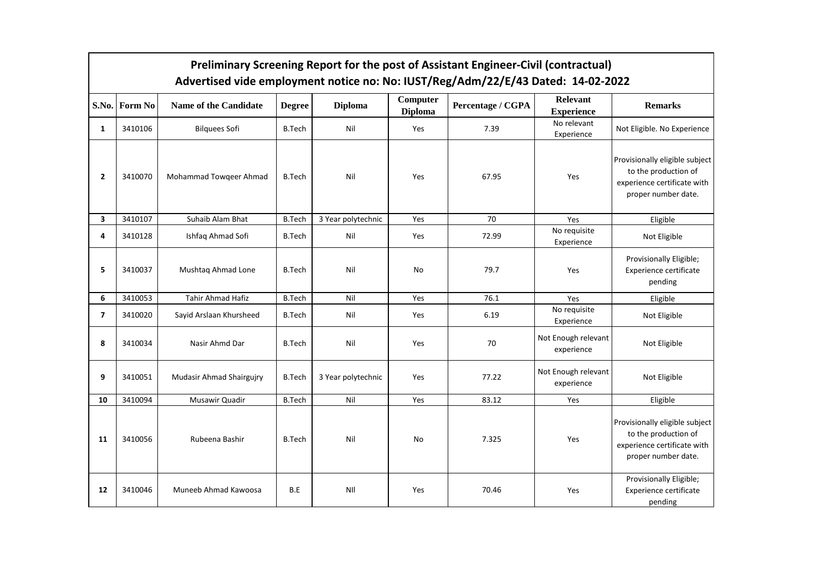|                         | Preliminary Screening Report for the post of Assistant Engineer-Civil (contractual)<br>Advertised vide employment notice no: No: IUST/Reg/Adm/22/E/43 Dated: 14-02-2022 |                                 |               |                    |                            |                   |                                      |                                                                                                              |  |
|-------------------------|-------------------------------------------------------------------------------------------------------------------------------------------------------------------------|---------------------------------|---------------|--------------------|----------------------------|-------------------|--------------------------------------|--------------------------------------------------------------------------------------------------------------|--|
| S.No.                   | <b>Form No</b>                                                                                                                                                          | Name of the Candidate           | <b>Degree</b> | <b>Diploma</b>     | Computer<br><b>Diploma</b> | Percentage / CGPA | <b>Relevant</b><br><b>Experience</b> | <b>Remarks</b>                                                                                               |  |
| $\mathbf{1}$            | 3410106                                                                                                                                                                 | <b>Bilquees Sofi</b>            | <b>B.Tech</b> | Nil                | Yes                        | 7.39              | No relevant<br>Experience            | Not Eligible. No Experience                                                                                  |  |
| $\overline{2}$          | 3410070                                                                                                                                                                 | Mohammad Towqeer Ahmad          | <b>B.Tech</b> | Nil                | Yes                        | 67.95             | Yes                                  | Provisionally eligible subject<br>to the production of<br>experience certificate with<br>proper number date. |  |
| 3                       | 3410107                                                                                                                                                                 | Suhaib Alam Bhat                | <b>B.Tech</b> | 3 Year polytechnic | Yes                        | 70                | Yes                                  | Eligible                                                                                                     |  |
| 4                       | 3410128                                                                                                                                                                 | Ishfaq Ahmad Sofi               | <b>B.Tech</b> | Nil                | Yes                        | 72.99             | No requisite<br>Experience           | Not Eligible                                                                                                 |  |
| 5                       | 3410037                                                                                                                                                                 | Mushtaq Ahmad Lone              | <b>B.Tech</b> | Nil                | No                         | 79.7              | Yes                                  | Provisionally Eligible;<br><b>Experience certificate</b><br>pending                                          |  |
| 6                       | 3410053                                                                                                                                                                 | Tahir Ahmad Hafiz               | <b>B.Tech</b> | Nil                | Yes                        | 76.1              | Yes                                  | Eligible                                                                                                     |  |
| $\overline{\mathbf{z}}$ | 3410020                                                                                                                                                                 | Sayid Arslaan Khursheed         | <b>B.Tech</b> | Nil                | Yes                        | 6.19              | No requisite<br>Experience           | Not Eligible                                                                                                 |  |
| 8                       | 3410034                                                                                                                                                                 | Nasir Ahmd Dar                  | <b>B.Tech</b> | Nil                | Yes                        | 70                | Not Enough relevant<br>experience    | Not Eligible                                                                                                 |  |
| 9                       | 3410051                                                                                                                                                                 | <b>Mudasir Ahmad Shairgujry</b> | <b>B.Tech</b> | 3 Year polytechnic | Yes                        | 77.22             | Not Enough relevant<br>experience    | Not Eligible                                                                                                 |  |
| 10                      | 3410094                                                                                                                                                                 | Musawir Quadir                  | <b>B.Tech</b> | Nil                | Yes                        | 83.12             | Yes                                  | Eligible                                                                                                     |  |
| 11                      | 3410056                                                                                                                                                                 | Rubeena Bashir                  | <b>B.Tech</b> | Nil                | No                         | 7.325             | Yes                                  | Provisionally eligible subject<br>to the production of<br>experience certificate with<br>proper number date. |  |
| 12                      | 3410046                                                                                                                                                                 | Muneeb Ahmad Kawoosa            | B.E           | NII                | Yes                        | 70.46             | Yes                                  | Provisionally Eligible;<br><b>Experience certificate</b><br>pending                                          |  |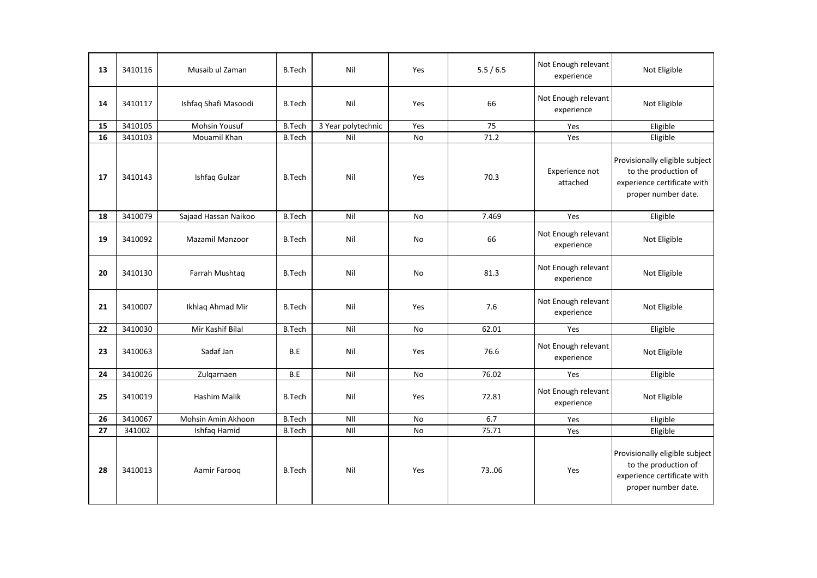| 13 | 3410116 | Musaib ul Zaman      | <b>B.Tech</b> | Nil                | Yes       | 5.5/6.5 | Not Enough relevant<br>experience | Not Eligible                                                                                                 |
|----|---------|----------------------|---------------|--------------------|-----------|---------|-----------------------------------|--------------------------------------------------------------------------------------------------------------|
| 14 | 3410117 | Ishfaq Shafi Masoodi | <b>B.Tech</b> | Nil                | Yes       | 66      | Not Enough relevant<br>experience | Not Eligible                                                                                                 |
| 15 | 3410105 | <b>Mohsin Yousuf</b> | <b>B.Tech</b> | 3 Year polytechnic | Yes       | 75      | Yes                               | Eligible                                                                                                     |
| 16 | 3410103 | Mouamil Khan         | <b>B.Tech</b> | Nil                | No        | 71.2    | Yes                               | Eligible                                                                                                     |
| 17 | 3410143 | Ishfaq Gulzar        | <b>B.Tech</b> | Nil                | Yes       | 70.3    | Experience not<br>attached        | Provisionally eligible subject<br>to the production of<br>experience certificate with<br>proper number date. |
| 18 | 3410079 | Sajaad Hassan Naikoo | <b>B.Tech</b> | Nil                | No        | 7.469   | Yes                               | Eligible                                                                                                     |
| 19 | 3410092 | Mazamil Manzoor      | <b>B.Tech</b> | Nil                | No        | 66      | Not Enough relevant<br>experience | Not Eligible                                                                                                 |
| 20 | 3410130 | Farrah Mushtaq       | <b>B.Tech</b> | Nil                | No        | 81.3    | Not Enough relevant<br>experience | Not Eligible                                                                                                 |
| 21 | 3410007 | Ikhlag Ahmad Mir     | <b>B.Tech</b> | Nil                | Yes       | 7.6     | Not Enough relevant<br>experience | Not Eligible                                                                                                 |
| 22 | 3410030 | Mir Kashif Bilal     | <b>B.Tech</b> | Nil                | <b>No</b> | 62.01   | Yes                               | Eligible                                                                                                     |
| 23 | 3410063 | Sadaf Jan            | B.E           | Nil                | Yes       | 76.6    | Not Enough relevant<br>experience | Not Eligible                                                                                                 |
| 24 | 3410026 | Zulgarnaen           | B.E           | Nil                | <b>No</b> | 76.02   | Yes                               | Eligible                                                                                                     |
| 25 | 3410019 | <b>Hashim Malik</b>  | <b>B.Tech</b> | Nil                | Yes       | 72.81   | Not Enough relevant<br>experience | Not Eligible                                                                                                 |
| 26 | 3410067 | Mohsin Amin Akhoon   | <b>B.Tech</b> | NII                | <b>No</b> | 6.7     | Yes                               | Eligible                                                                                                     |
| 27 | 341002  | Ishfaq Hamid         | <b>B.Tech</b> | NII                | No        | 75.71   | Yes                               | Eligible                                                                                                     |
| 28 | 3410013 | Aamir Faroog         | <b>B.Tech</b> | Nil                | Yes       | 7306    | Yes                               | Provisionally eligible subject<br>to the production of<br>experience certificate with<br>proper number date. |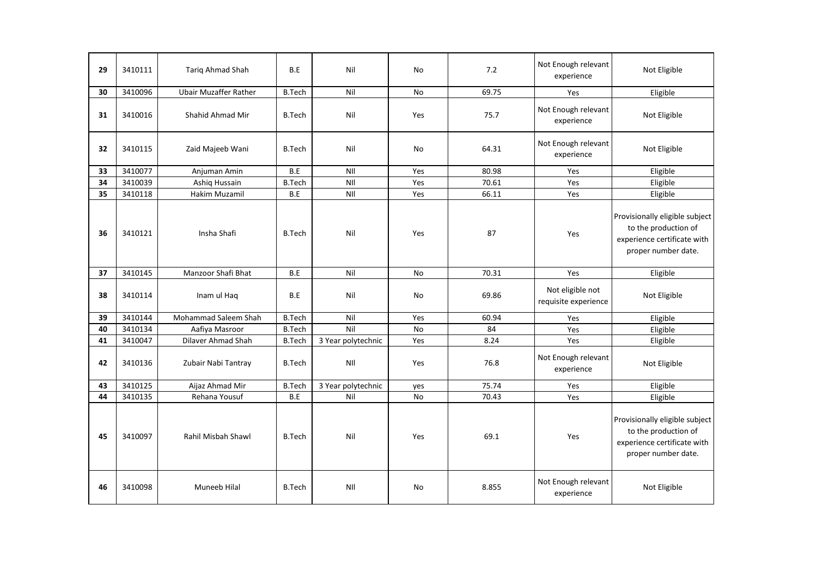| 29 | 3410111 | Tariq Ahmad Shah             | B.E                   | Nil                | No        | 7.2   | Not Enough relevant<br>experience        | Not Eligible                                                                                                 |
|----|---------|------------------------------|-----------------------|--------------------|-----------|-------|------------------------------------------|--------------------------------------------------------------------------------------------------------------|
| 30 | 3410096 | <b>Ubair Muzaffer Rather</b> | <b>B.Tech</b>         | Nil                | No        | 69.75 | Yes                                      | Eligible                                                                                                     |
| 31 | 3410016 | Shahid Ahmad Mir             | <b>B.Tech</b>         | Nil                | Yes       | 75.7  | Not Enough relevant<br>experience        | Not Eligible                                                                                                 |
| 32 | 3410115 | Zaid Majeeb Wani             | <b>B.Tech</b>         | Nil                | No        | 64.31 | Not Enough relevant<br>experience        | Not Eligible                                                                                                 |
| 33 | 3410077 | Anjuman Amin                 | B.E                   | NII                | Yes       | 80.98 | Yes                                      | Eligible                                                                                                     |
| 34 | 3410039 | Ashiq Hussain                | <b>B.Tech</b>         | NII                | Yes       | 70.61 | Yes                                      | Eligible                                                                                                     |
| 35 | 3410118 | Hakim Muzamil                | $\mathsf B.\mathsf E$ | NII                | Yes       | 66.11 | Yes                                      | Eligible                                                                                                     |
| 36 | 3410121 | Insha Shafi                  | <b>B.Tech</b>         | Nil                | Yes       | 87    | Yes                                      | Provisionally eligible subject<br>to the production of<br>experience certificate with<br>proper number date. |
| 37 | 3410145 | Manzoor Shafi Bhat           | B.E                   | Nil                | No        | 70.31 | Yes                                      | Eligible                                                                                                     |
| 38 | 3410114 | Inam ul Haq                  | B.E                   | Nil                | <b>No</b> | 69.86 | Not eligible not<br>requisite experience | Not Eligible                                                                                                 |
| 39 | 3410144 | Mohammad Saleem Shah         | <b>B.Tech</b>         | Nil                | Yes       | 60.94 | Yes                                      | Eligible                                                                                                     |
| 40 | 3410134 | Aafiya Masroor               | <b>B.Tech</b>         | Nil                | No        | 84    | Yes                                      | Eligible                                                                                                     |
| 41 | 3410047 | Dilaver Ahmad Shah           | <b>B.Tech</b>         | 3 Year polytechnic | Yes       | 8.24  | Yes                                      | Eligible                                                                                                     |
| 42 | 3410136 | Zubair Nabi Tantray          | <b>B.Tech</b>         | NII                | Yes       | 76.8  | Not Enough relevant<br>experience        | Not Eligible                                                                                                 |
| 43 | 3410125 | Aijaz Ahmad Mir              | <b>B.Tech</b>         | 3 Year polytechnic | yes       | 75.74 | Yes                                      | Eligible                                                                                                     |
| 44 | 3410135 | Rehana Yousuf                | B.E                   | Nil                | No        | 70.43 | Yes                                      | Eligible                                                                                                     |
| 45 | 3410097 | Rahil Misbah Shawl           | <b>B.Tech</b>         | Nil                | Yes       | 69.1  | Yes                                      | Provisionally eligible subject<br>to the production of<br>experience certificate with<br>proper number date. |
| 46 | 3410098 | Muneeb Hilal                 | <b>B.Tech</b>         | NII                | No        | 8.855 | Not Enough relevant<br>experience        | Not Eligible                                                                                                 |